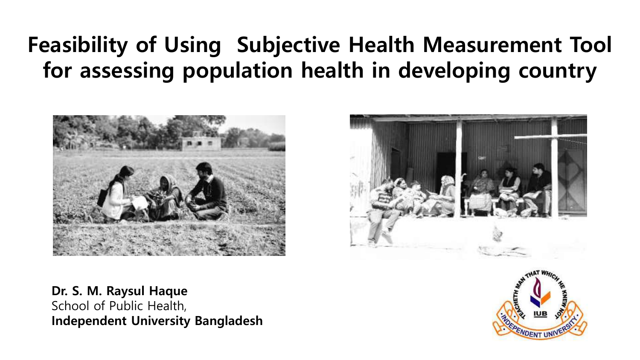### **Feasibility of Using Subjective Health Measurement Tool for assessing population health in developing country**



**Dr. S. M. Raysul Haque** School of Public Health, **Independent University Bangladesh**



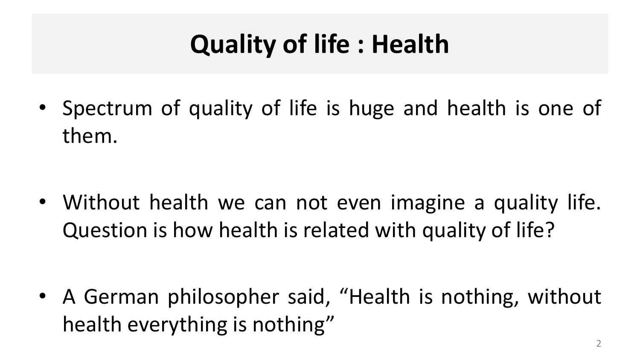# **Quality of life : Health**

• Spectrum of quality of life is huge and health is one of them.

• Without health we can not even imagine a quality life. Question is how health is related with quality of life?

• A German philosopher said, "Health is nothing, without health everything is nothing"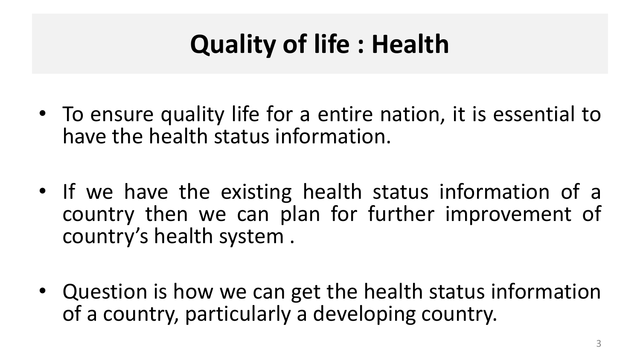# **Quality of life : Health**

- To ensure quality life for a entire nation, it is essential to have the health status information.
- If we have the existing health status information of a country then we can plan for further improvement of country's health system .
- Question is how we can get the health status information of a country, particularly a developing country.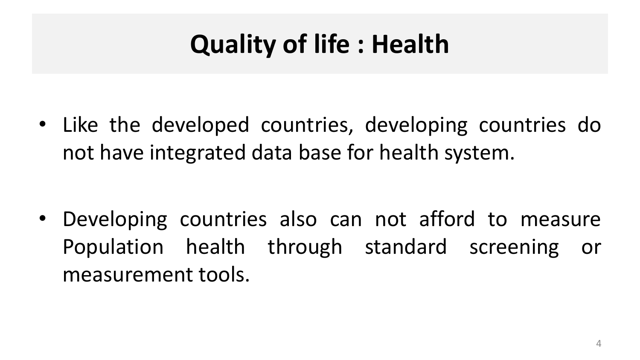# **Quality of life : Health**

• Like the developed countries, developing countries do not have integrated data base for health system.

• Developing countries also can not afford to measure Population health through standard screening or measurement tools.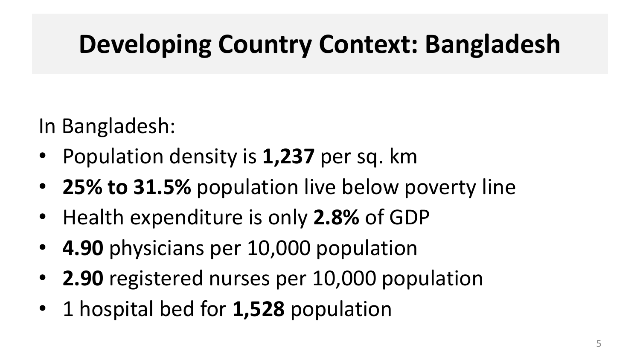## **Developing Country Context: Bangladesh**

In Bangladesh:

- Population density is **1,237** per sq. km
- **25% to 31.5%** population live below poverty line
- Health expenditure is only **2.8%** of GDP
- **4.90** physicians per 10,000 population
- **2.90** registered nurses per 10,000 population
- 1 hospital bed for **1,528** population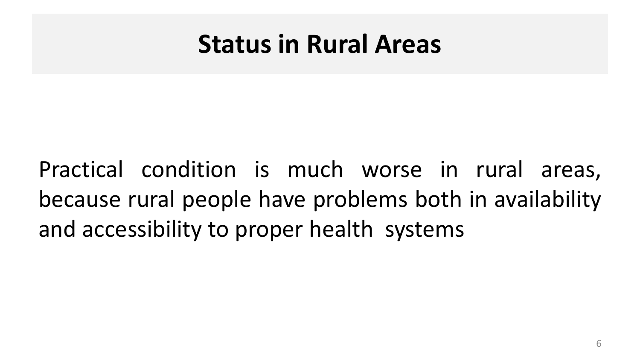### **Status in Rural Areas**

Practical condition is much worse in rural areas, because rural people have problems both in availability and accessibility to proper health systems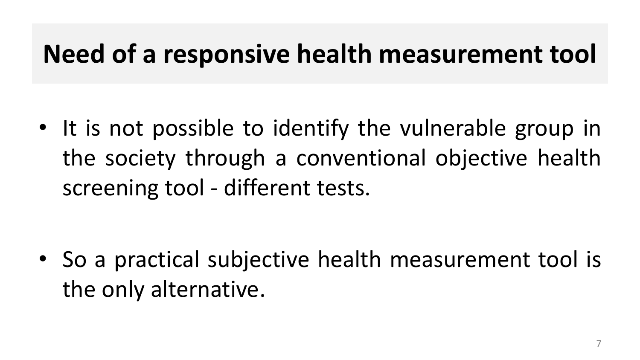### **Need of a responsive health measurement tool**

• It is not possible to identify the vulnerable group in the society through a conventional objective health screening tool - different tests.

• So a practical subjective health measurement tool is the only alternative.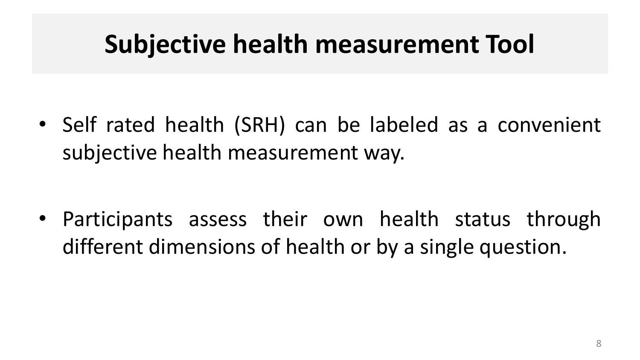### **Subjective health measurement Tool**

• Self rated health (SRH) can be labeled as a convenient subjective health measurement way.

• Participants assess their own health status through different dimensions of health or by a single question.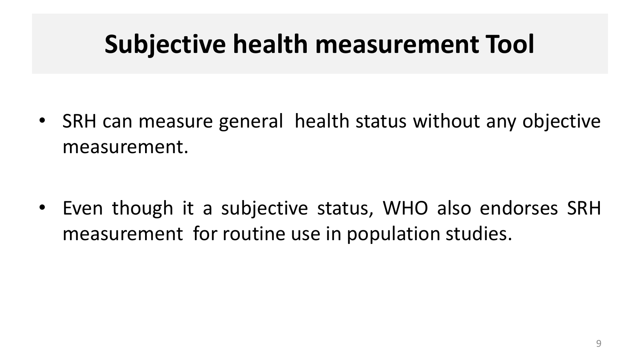## **Subjective health measurement Tool**

• SRH can measure general health status without any objective measurement.

• Even though it a subjective status, WHO also endorses SRH measurement for routine use in population studies.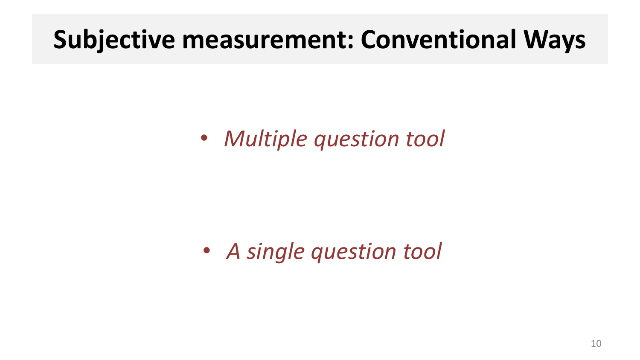### **Subjective measurement: Conventional Ways**

• *Multiple question tool*

• *A single question tool*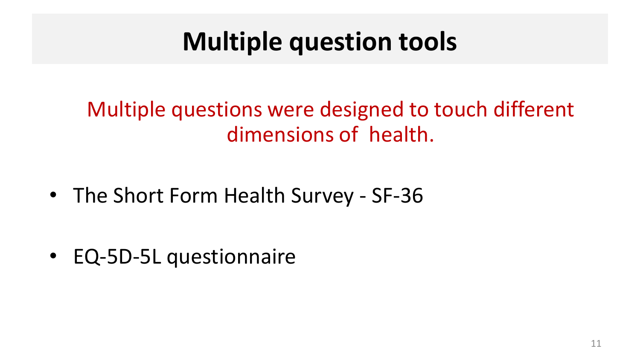### **Multiple question tools**

### Multiple questions were designed to touch different dimensions of health.

• The Short Form Health Survey - SF-36

• EQ-5D-5L questionnaire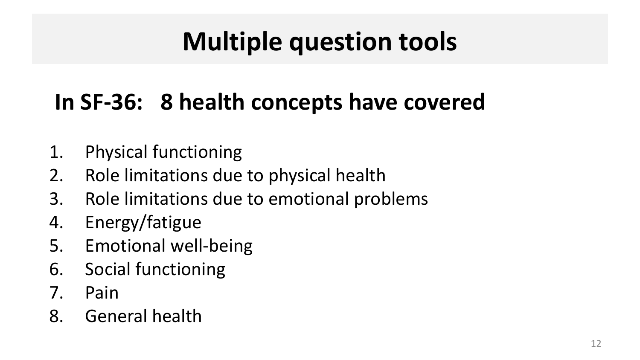## **Multiple question tools**

### **In SF-36: 8 health concepts have covered**

- 1. Physical functioning
- 2. Role limitations due to physical health
- 3. Role limitations due to emotional problems
- 4. Energy/fatigue
- 5. Emotional well-being
- 6. Social functioning
- 7. Pain
- 8. General health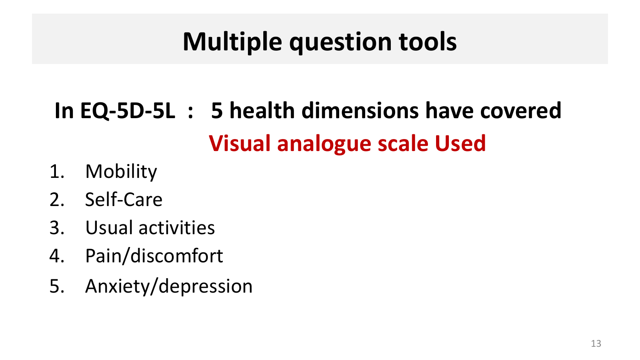## **Multiple question tools**

## **In EQ-5D-5L : 5 health dimensions have covered Visual analogue scale Used**

- 1. Mobility
- 2. Self-Care
- 3. Usual activities
- 4. Pain/discomfort
- 5. Anxiety/depression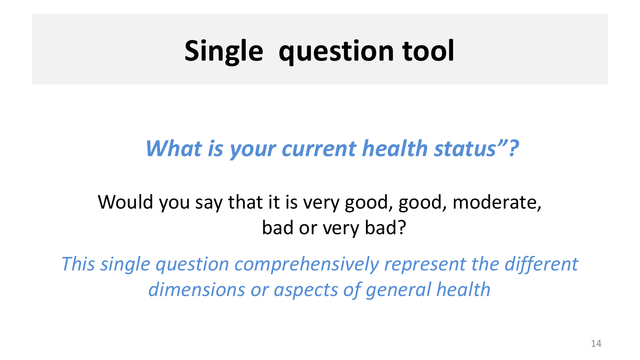# **Single question tool**

### *What is your current health status"?*

#### Would you say that it is very good, good, moderate, bad or very bad?

*This single question comprehensively represent the different dimensions or aspects of general health*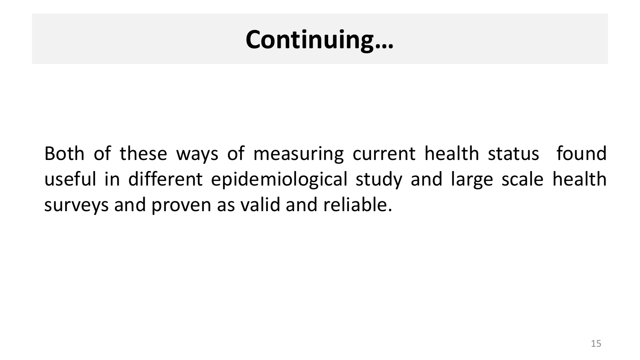### **Continuing…**

Both of these ways of measuring current health status found useful in different epidemiological study and large scale health surveys and proven as valid and reliable.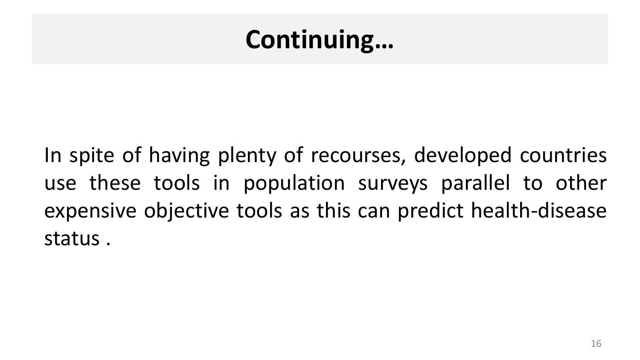### **Continuing…**

In spite of having plenty of recourses, developed countries use these tools in population surveys parallel to other expensive objective tools as this can predict health-disease status .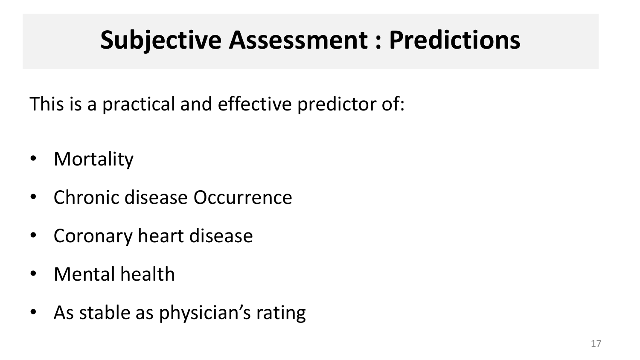### **Subjective Assessment : Predictions**

This is a practical and effective predictor of:

- Mortality
- Chronic disease Occurrence
- Coronary heart disease
- Mental health
- As stable as physician's rating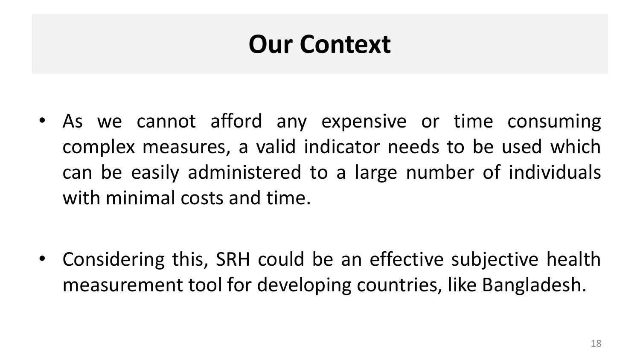## **Our Context**

• As we cannot afford any expensive or time consuming complex measures, a valid indicator needs to be used which can be easily administered to a large number of individuals with minimal costs and time.

• Considering this, SRH could be an effective subjective health measurement tool for developing countries, like Bangladesh.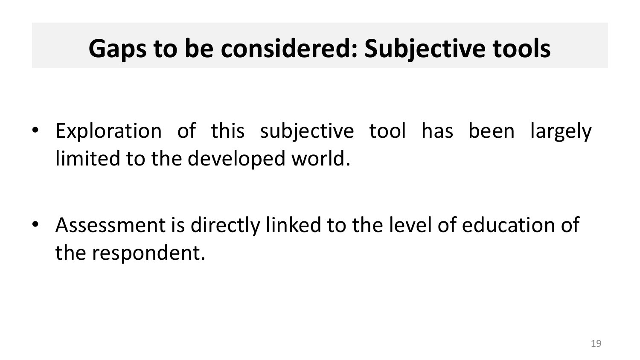### **Gaps to be considered: Subjective tools**

• Exploration of this subjective tool has been largely limited to the developed world.

• Assessment is directly linked to the level of education of the respondent.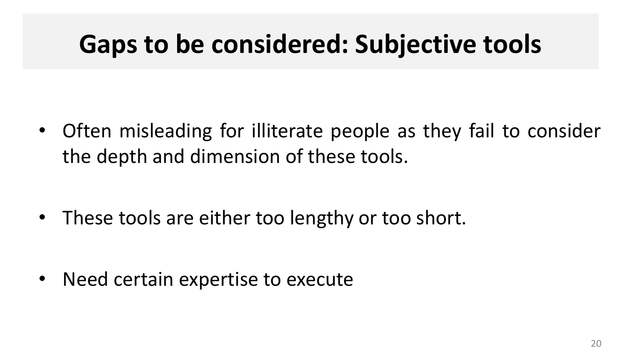### **Gaps to be considered: Subjective tools**

• Often misleading for illiterate people as they fail to consider the depth and dimension of these tools.

• These tools are either too lengthy or too short.

• Need certain expertise to execute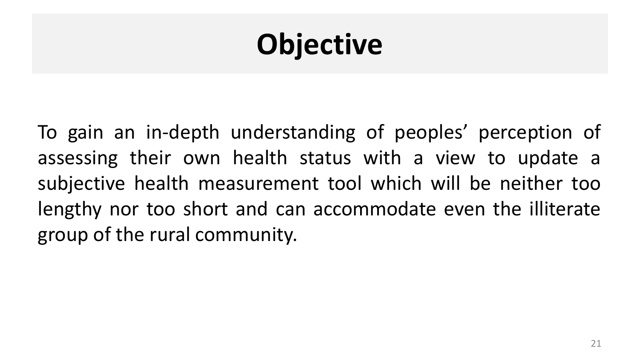# **Objective**

To gain an in-depth understanding of peoples' perception of assessing their own health status with a view to update a subjective health measurement tool which will be neither too lengthy nor too short and can accommodate even the illiterate group of the rural community.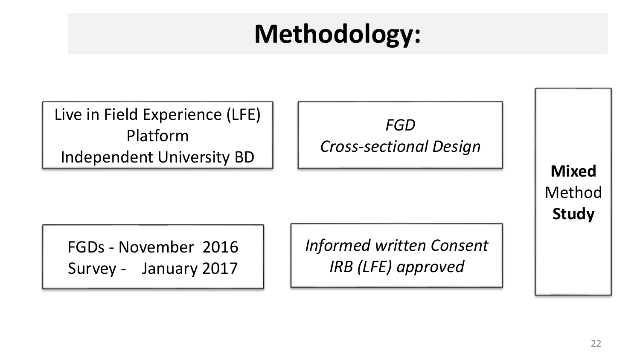## **Methodology:**

FGDs - November 2016 Survey - January 2017 Method Live in Field Experience (LFE) Platform Independent University BD *FGD Cross-sectional Design Informed written Consent IRB (LFE) approved* 

**Mixed** 

**Study**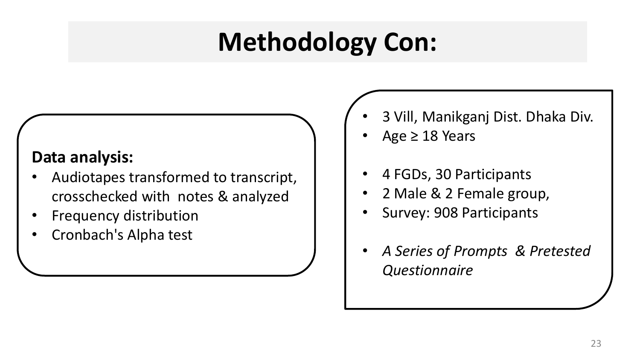## **Methodology Con:**

#### **Data analysis:**

- Audiotapes transformed to transcript, crosschecked with notes & analyzed
- Frequency distribution
- Cronbach's Alpha test
- 3 Vill, Manikganj Dist. Dhaka Div.
- Age  $\geq$  18 Years
- 4 FGDs, 30 Participants
- 2 Male & 2 Female group,
- Survey: 908 Participants
- *A Series of Prompts & Pretested Questionnaire*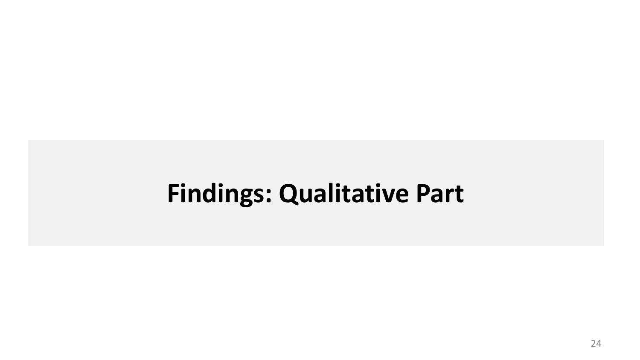### **Findings: Qualitative Part**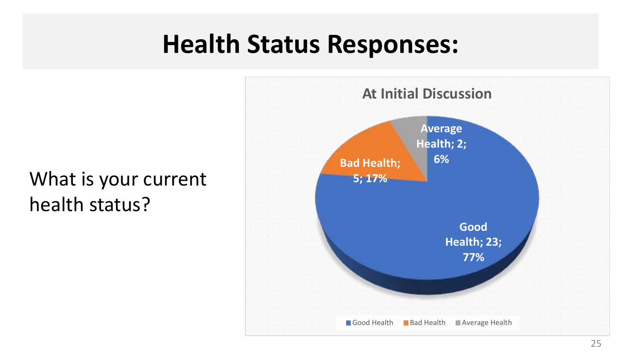### **Health Status Responses:**

#### What is your current health status?

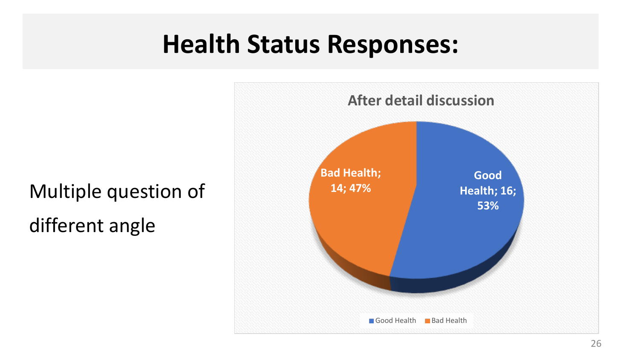### **Health Status Responses:**

Multiple question of

different angle

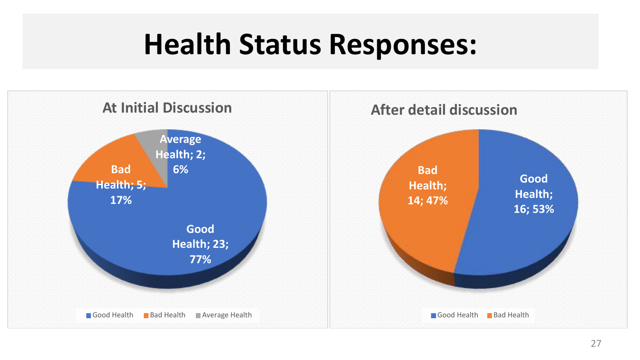# **Health Status Responses:**

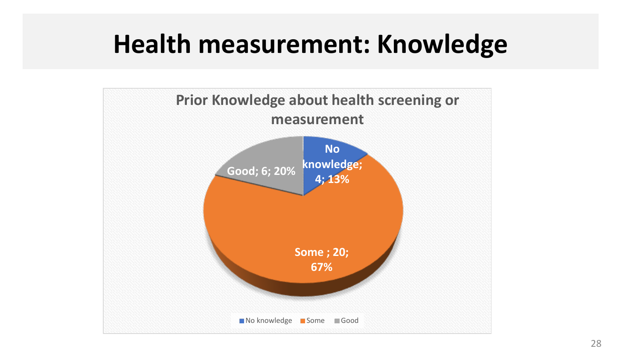### **Health measurement: Knowledge**

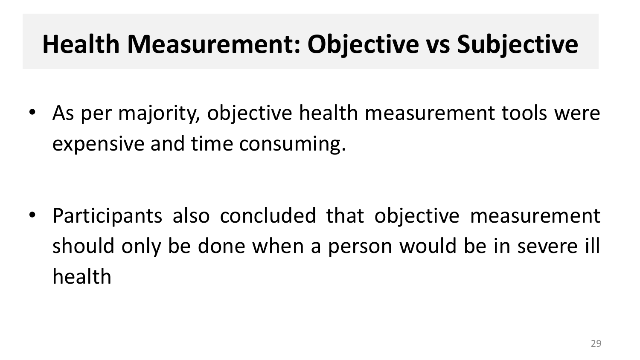## **Health Measurement: Objective vs Subjective**

• As per majority, objective health measurement tools were expensive and time consuming.

• Participants also concluded that objective measurement should only be done when a person would be in severe ill health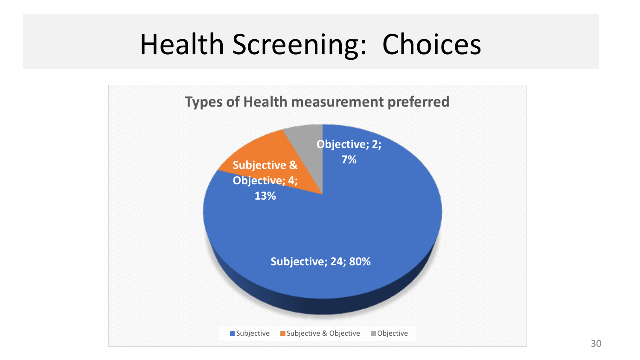# Health Screening: Choices

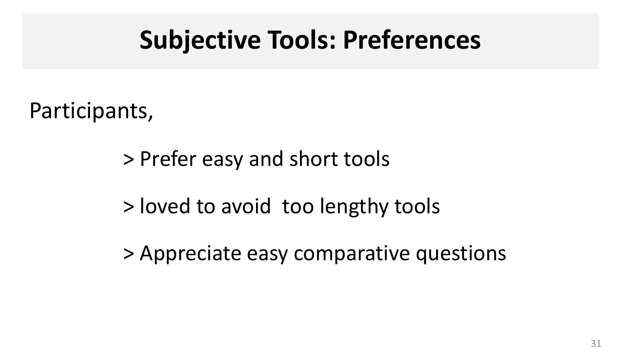### **Subjective Tools: Preferences**

Participants,

> Prefer easy and short tools

> loved to avoid too lengthy tools

> Appreciate easy comparative questions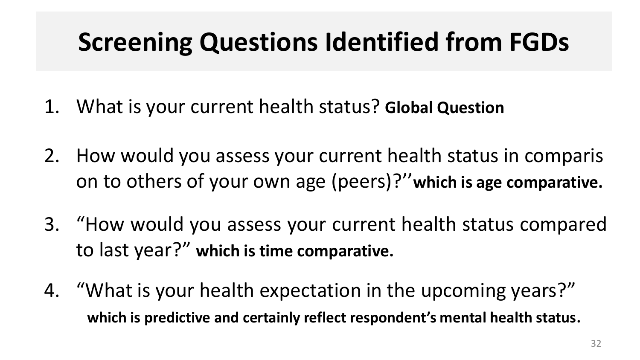## **Screening Questions Identified from FGDs**

- 1. What is your current health status? **Global Question**
- 2. How would you assess your current health status in comparis on to others of your own age (peers)?''**which is age comparative.**
- 3. "How would you assess your current health status compared to last year?" **which is time comparative.**
- 4. "What is your health expectation in the upcoming years?" **which is predictive and certainly reflect respondent's mental health status**.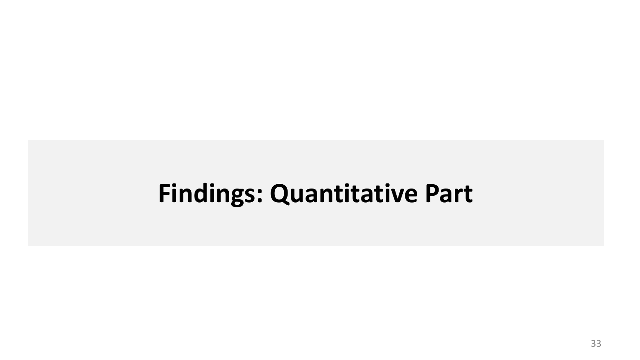### **Findings: Quantitative Part**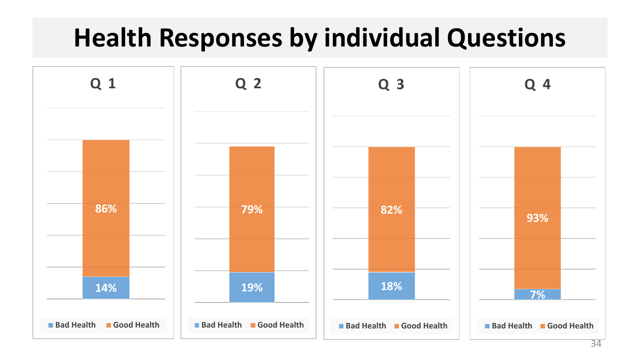### **Health Responses by individual Questions**

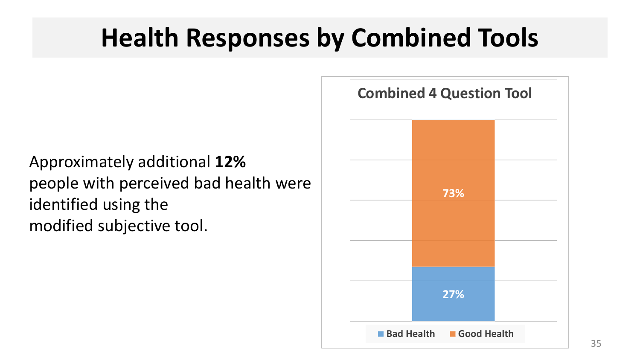### **Health Responses by Combined Tools**

Approximately additional **12%** people with perceived bad health were identified using the modified subjective tool.

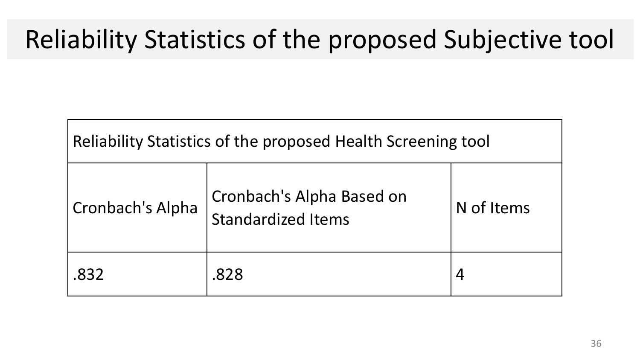## Reliability Statistics of the proposed Subjective tool

| Reliability Statistics of the proposed Health Screening tool |                                                        |            |  |
|--------------------------------------------------------------|--------------------------------------------------------|------------|--|
| Cronbach's Alpha                                             | Cronbach's Alpha Based on<br><b>Standardized Items</b> | N of Items |  |
| .832                                                         | .828                                                   |            |  |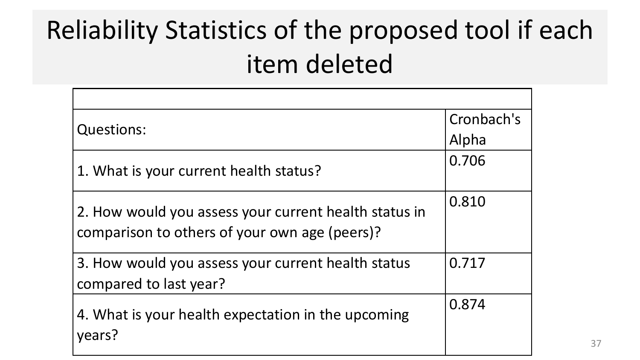# Reliability Statistics of the proposed tool if each item deleted

| <b>Questions:</b>                                                                                      | Cronbach's |
|--------------------------------------------------------------------------------------------------------|------------|
|                                                                                                        | Alpha      |
| 1. What is your current health status?                                                                 | 0.706      |
| 2. How would you assess your current health status in<br>comparison to others of your own age (peers)? | 0.810      |
| 3. How would you assess your current health status<br>compared to last year?                           | 0.717      |
| 4. What is your health expectation in the upcoming<br>years?                                           | 0.874      |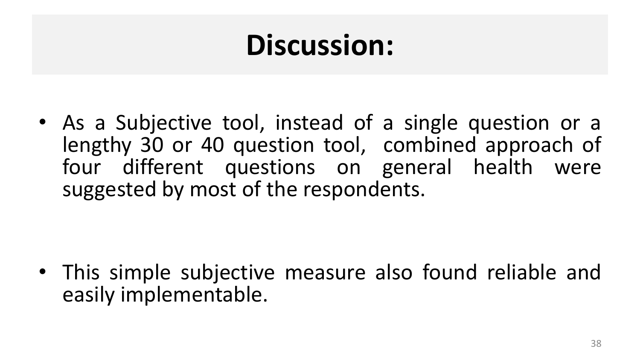# **Discussion:**

• As a Subjective tool, instead of a single question or a lengthy 30 or 40 question tool, combined approach of four different questions on general health were suggested by most of the respondents.

• This simple subjective measure also found reliable and easily implementable.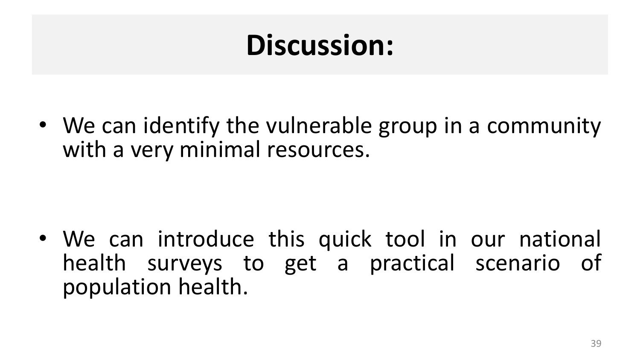# **Discussion:**

• We can identify the vulnerable group in a community with a very minimal resources.

• We can introduce this quick tool in our national health surveys to get a practical scenario of population health.